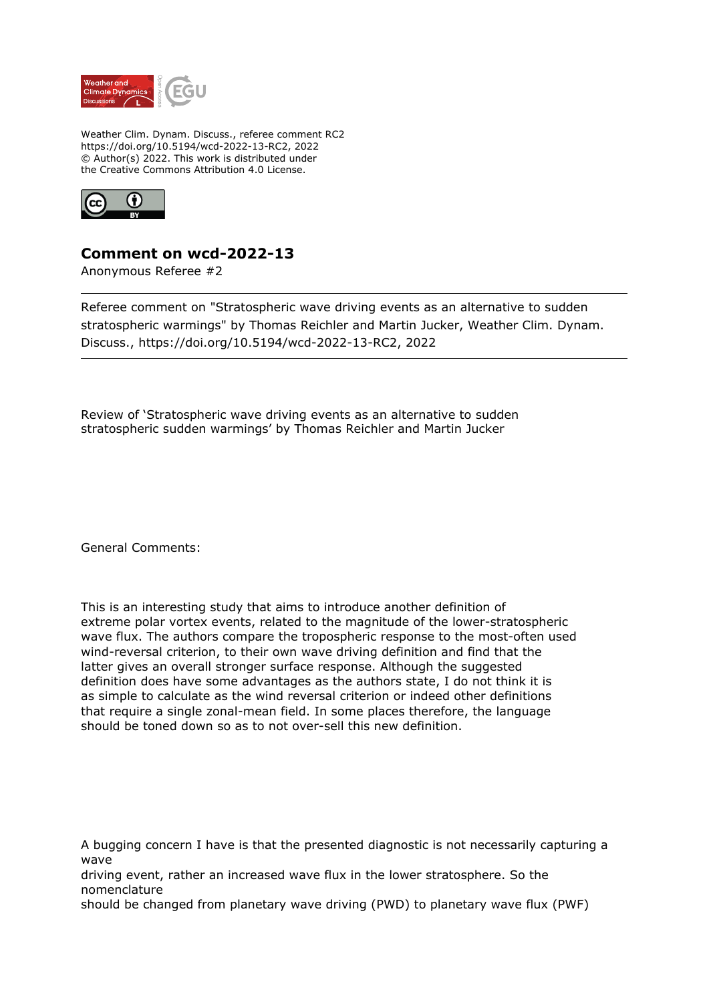

Weather Clim. Dynam. Discuss., referee comment RC2 https://doi.org/10.5194/wcd-2022-13-RC2, 2022 © Author(s) 2022. This work is distributed under the Creative Commons Attribution 4.0 License.



## **Comment on wcd-2022-13**

Anonymous Referee #2

Referee comment on "Stratospheric wave driving events as an alternative to sudden stratospheric warmings" by Thomas Reichler and Martin Jucker, Weather Clim. Dynam. Discuss., https://doi.org/10.5194/wcd-2022-13-RC2, 2022

Review of 'Stratospheric wave driving events as an alternative to sudden stratospheric sudden warmings' by Thomas Reichler and Martin Jucker

General Comments:

This is an interesting study that aims to introduce another definition of extreme polar vortex events, related to the magnitude of the lower-stratospheric wave flux. The authors compare the tropospheric response to the most-often used wind-reversal criterion, to their own wave driving definition and find that the latter gives an overall stronger surface response. Although the suggested definition does have some advantages as the authors state, I do not think it is as simple to calculate as the wind reversal criterion or indeed other definitions that require a single zonal-mean field. In some places therefore, the language should be toned down so as to not over-sell this new definition.

A bugging concern I have is that the presented diagnostic is not necessarily capturing a wave

driving event, rather an increased wave flux in the lower stratosphere. So the nomenclature

should be changed from planetary wave driving (PWD) to planetary wave flux (PWF)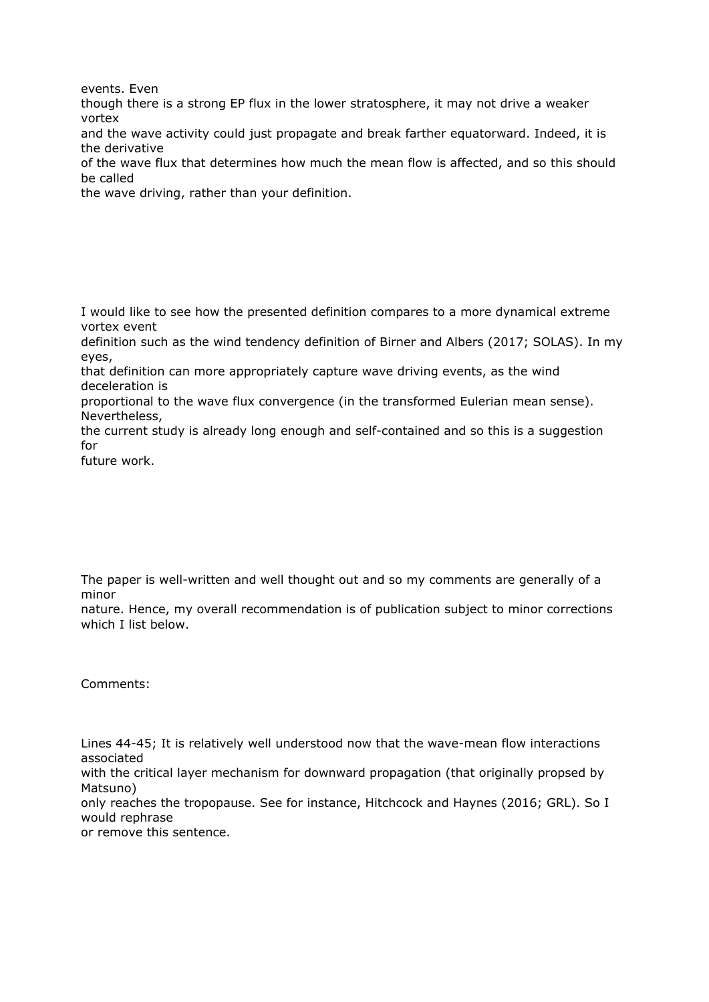events. Even

though there is a strong EP flux in the lower stratosphere, it may not drive a weaker vortex

and the wave activity could just propagate and break farther equatorward. Indeed, it is the derivative

of the wave flux that determines how much the mean flow is affected, and so this should be called

the wave driving, rather than your definition.

I would like to see how the presented definition compares to a more dynamical extreme vortex event

definition such as the wind tendency definition of Birner and Albers (2017; SOLAS). In my eyes,

that definition can more appropriately capture wave driving events, as the wind deceleration is

proportional to the wave flux convergence (in the transformed Eulerian mean sense). Nevertheless,

the current study is already long enough and self-contained and so this is a suggestion for

future work.

The paper is well-written and well thought out and so my comments are generally of a minor

nature. Hence, my overall recommendation is of publication subject to minor corrections which I list below.

Comments:

Lines 44-45; It is relatively well understood now that the wave-mean flow interactions associated

with the critical layer mechanism for downward propagation (that originally propsed by Matsuno)

only reaches the tropopause. See for instance, Hitchcock and Haynes (2016; GRL). So I would rephrase

or remove this sentence.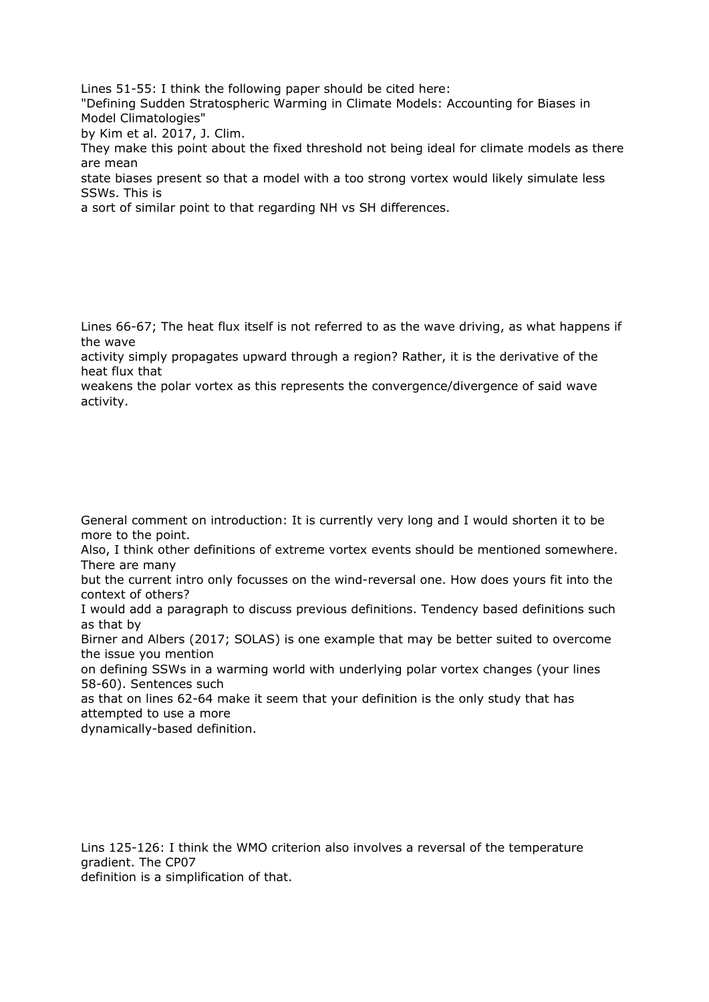Lines 51-55: I think the following paper should be cited here:

"Defining Sudden Stratospheric Warming in Climate Models: Accounting for Biases in Model Climatologies"

by Kim et al. 2017, J. Clim.

They make this point about the fixed threshold not being ideal for climate models as there are mean

state biases present so that a model with a too strong vortex would likely simulate less SSWs. This is

a sort of similar point to that regarding NH vs SH differences.

Lines 66-67; The heat flux itself is not referred to as the wave driving, as what happens if the wave

activity simply propagates upward through a region? Rather, it is the derivative of the heat flux that

weakens the polar vortex as this represents the convergence/divergence of said wave activity.

General comment on introduction: It is currently very long and I would shorten it to be more to the point.

Also, I think other definitions of extreme vortex events should be mentioned somewhere. There are many

but the current intro only focusses on the wind-reversal one. How does yours fit into the context of others?

I would add a paragraph to discuss previous definitions. Tendency based definitions such as that by

Birner and Albers (2017; SOLAS) is one example that may be better suited to overcome the issue you mention

on defining SSWs in a warming world with underlying polar vortex changes (your lines 58-60). Sentences such

as that on lines 62-64 make it seem that your definition is the only study that has attempted to use a more

dynamically-based definition.

Lins 125-126: I think the WMO criterion also involves a reversal of the temperature gradient. The CP07 definition is a simplification of that.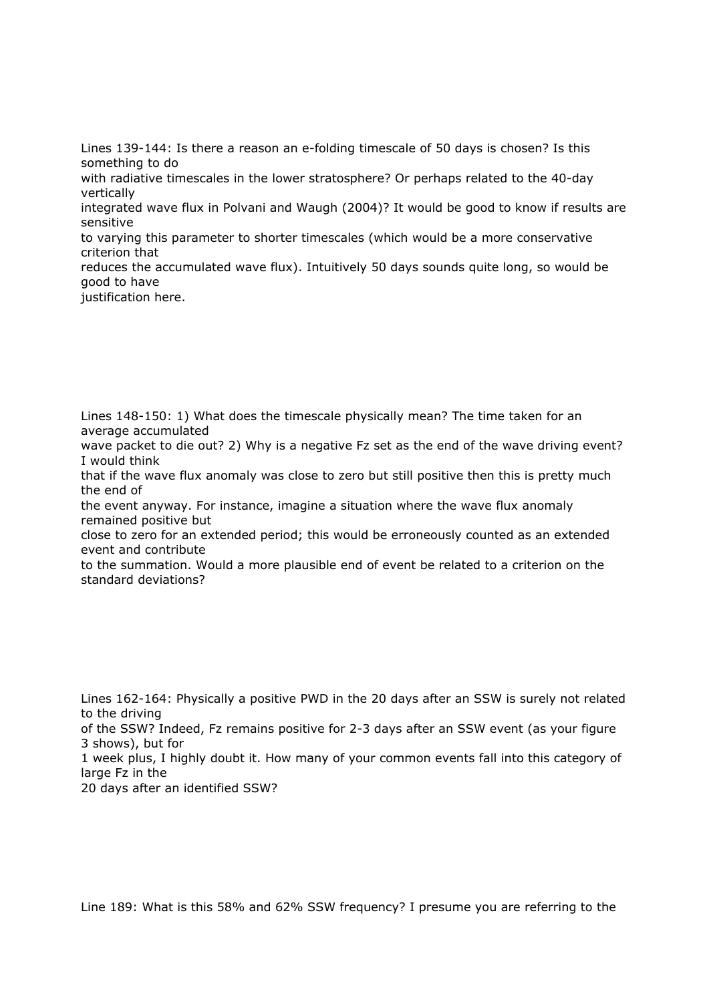Lines 139-144: Is there a reason an e-folding timescale of 50 days is chosen? Is this something to do with radiative timescales in the lower stratosphere? Or perhaps related to the 40-day vertically integrated wave flux in Polvani and Waugh (2004)? It would be good to know if results are sensitive to varying this parameter to shorter timescales (which would be a more conservative

criterion that

reduces the accumulated wave flux). Intuitively 50 days sounds quite long, so would be good to have

justification here.

Lines 148-150: 1) What does the timescale physically mean? The time taken for an average accumulated

wave packet to die out? 2) Why is a negative Fz set as the end of the wave driving event? I would think

that if the wave flux anomaly was close to zero but still positive then this is pretty much the end of

the event anyway. For instance, imagine a situation where the wave flux anomaly remained positive but

close to zero for an extended period; this would be erroneously counted as an extended event and contribute

to the summation. Would a more plausible end of event be related to a criterion on the standard deviations?

Lines 162-164: Physically a positive PWD in the 20 days after an SSW is surely not related to the driving

of the SSW? Indeed, Fz remains positive for 2-3 days after an SSW event (as your figure 3 shows), but for

1 week plus, I highly doubt it. How many of your common events fall into this category of large Fz in the

20 days after an identified SSW?

Line 189: What is this 58% and 62% SSW frequency? I presume you are referring to the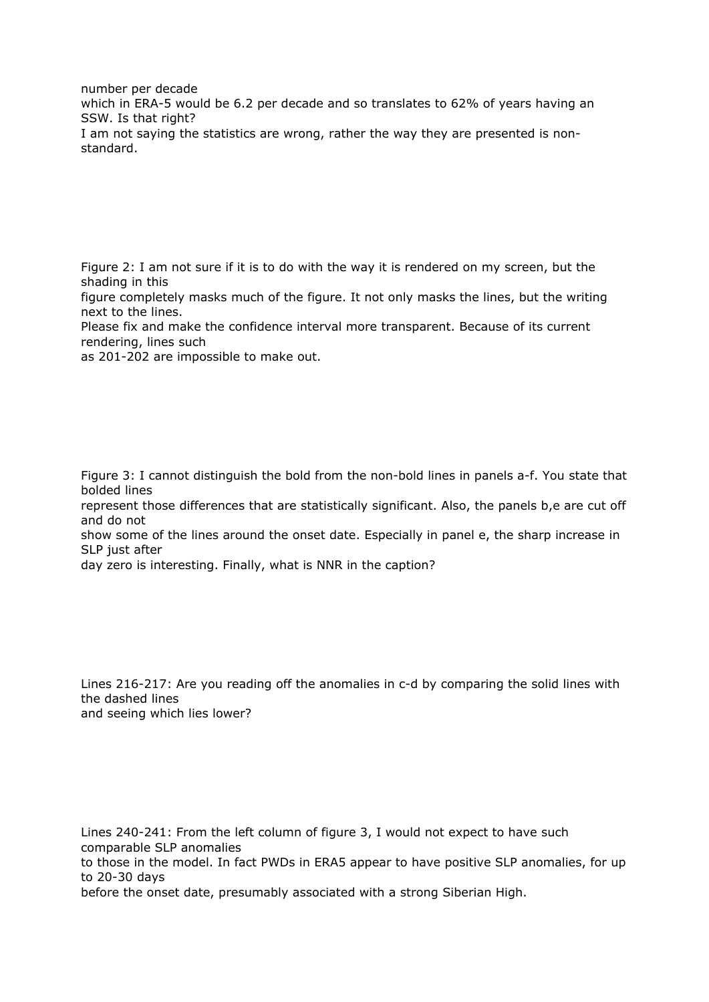number per decade which in ERA-5 would be 6.2 per decade and so translates to 62% of years having an SSW. Is that right? I am not saying the statistics are wrong, rather the way they are presented is nonstandard.

Figure 2: I am not sure if it is to do with the way it is rendered on my screen, but the shading in this

figure completely masks much of the figure. It not only masks the lines, but the writing next to the lines.

Please fix and make the confidence interval more transparent. Because of its current rendering, lines such

as 201-202 are impossible to make out.

Figure 3: I cannot distinguish the bold from the non-bold lines in panels a-f. You state that bolded lines

represent those differences that are statistically significant. Also, the panels b,e are cut off and do not

show some of the lines around the onset date. Especially in panel e, the sharp increase in SLP just after

day zero is interesting. Finally, what is NNR in the caption?

Lines 216-217: Are you reading off the anomalies in c-d by comparing the solid lines with the dashed lines and seeing which lies lower?

Lines 240-241: From the left column of figure 3, I would not expect to have such comparable SLP anomalies to those in the model. In fact PWDs in ERA5 appear to have positive SLP anomalies, for up to 20-30 days before the onset date, presumably associated with a strong Siberian High.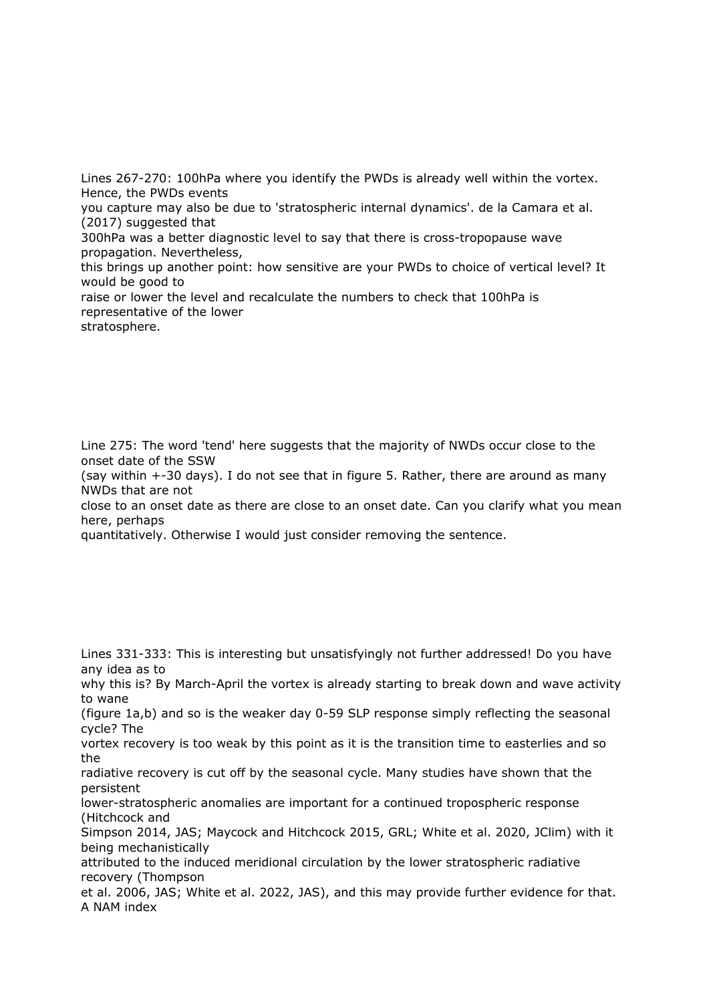Lines 267-270: 100hPa where you identify the PWDs is already well within the vortex. Hence, the PWDs events

you capture may also be due to 'stratospheric internal dynamics'. de la Camara et al. (2017) suggested that

300hPa was a better diagnostic level to say that there is cross-tropopause wave propagation. Nevertheless,

this brings up another point: how sensitive are your PWDs to choice of vertical level? It would be good to

raise or lower the level and recalculate the numbers to check that 100hPa is representative of the lower stratosphere.

Line 275: The word 'tend' here suggests that the majority of NWDs occur close to the onset date of the SSW

(say within +-30 days). I do not see that in figure 5. Rather, there are around as many NWDs that are not

close to an onset date as there are close to an onset date. Can you clarify what you mean here, perhaps

quantitatively. Otherwise I would just consider removing the sentence.

Lines 331-333: This is interesting but unsatisfyingly not further addressed! Do you have any idea as to

why this is? By March-April the vortex is already starting to break down and wave activity to wane

(figure 1a,b) and so is the weaker day 0-59 SLP response simply reflecting the seasonal cycle? The

vortex recovery is too weak by this point as it is the transition time to easterlies and so the

radiative recovery is cut off by the seasonal cycle. Many studies have shown that the persistent

lower-stratospheric anomalies are important for a continued tropospheric response (Hitchcock and

Simpson 2014, JAS; Maycock and Hitchcock 2015, GRL; White et al. 2020, JClim) with it being mechanistically

attributed to the induced meridional circulation by the lower stratospheric radiative recovery (Thompson

et al. 2006, JAS; White et al. 2022, JAS), and this may provide further evidence for that. A NAM index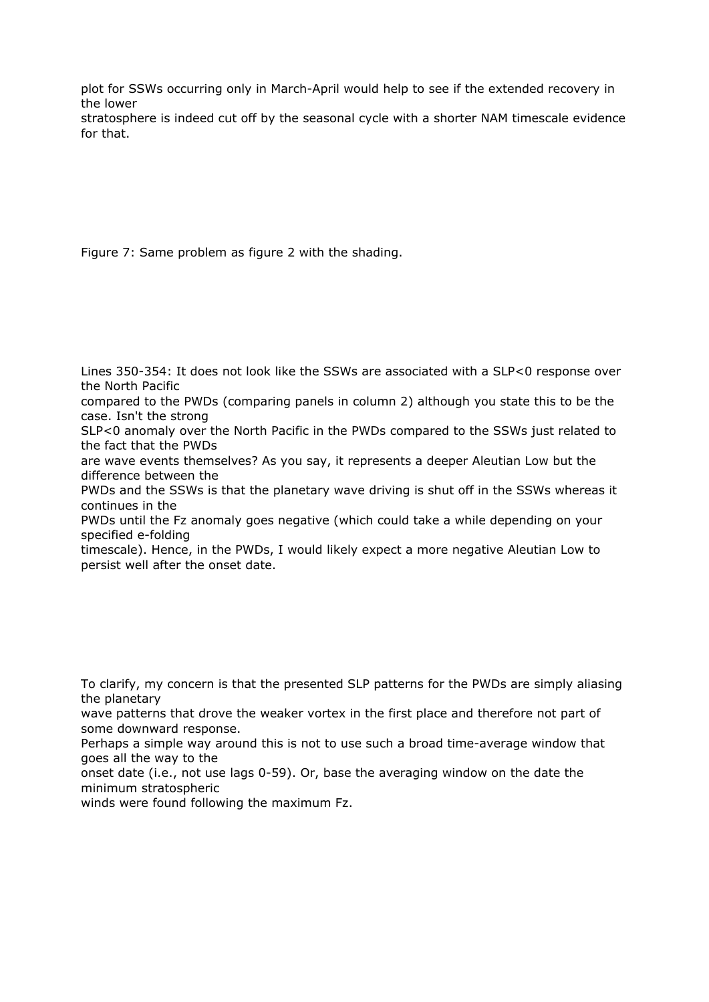plot for SSWs occurring only in March-April would help to see if the extended recovery in the lower

stratosphere is indeed cut off by the seasonal cycle with a shorter NAM timescale evidence for that.

Figure 7: Same problem as figure 2 with the shading.

Lines 350-354: It does not look like the SSWs are associated with a SLP<0 response over the North Pacific

compared to the PWDs (comparing panels in column 2) although you state this to be the case. Isn't the strong

SLP<0 anomaly over the North Pacific in the PWDs compared to the SSWs just related to the fact that the PWDs

are wave events themselves? As you say, it represents a deeper Aleutian Low but the difference between the

PWDs and the SSWs is that the planetary wave driving is shut off in the SSWs whereas it continues in the

PWDs until the Fz anomaly goes negative (which could take a while depending on your specified e-folding

timescale). Hence, in the PWDs, I would likely expect a more negative Aleutian Low to persist well after the onset date.

To clarify, my concern is that the presented SLP patterns for the PWDs are simply aliasing the planetary

wave patterns that drove the weaker vortex in the first place and therefore not part of some downward response.

Perhaps a simple way around this is not to use such a broad time-average window that goes all the way to the

onset date (i.e., not use lags 0-59). Or, base the averaging window on the date the minimum stratospheric

winds were found following the maximum Fz.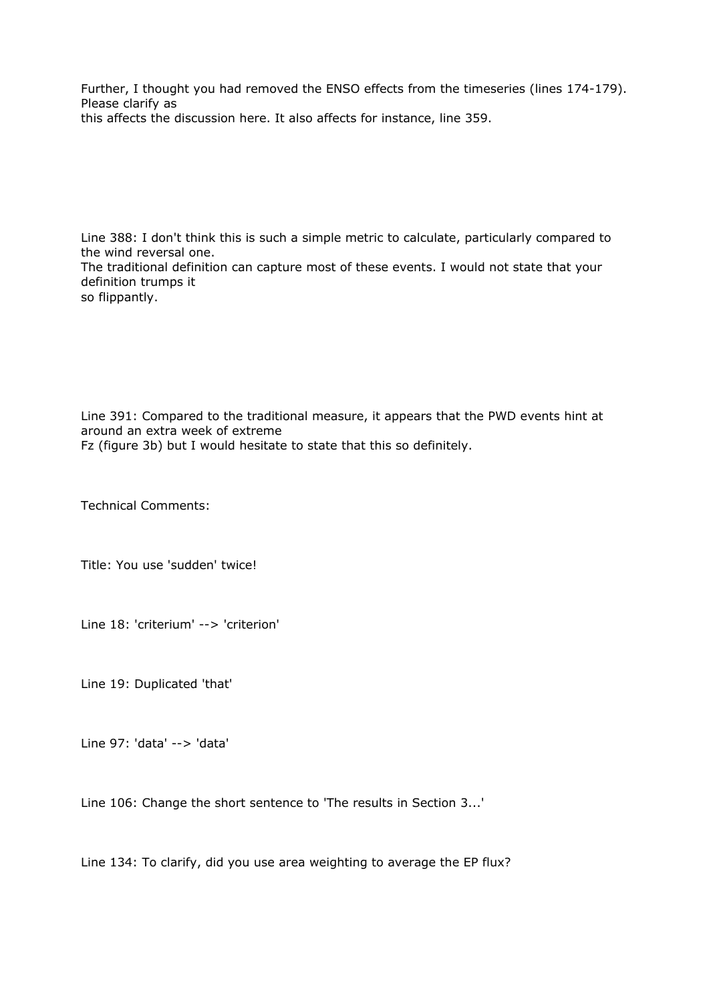Further, I thought you had removed the ENSO effects from the timeseries (lines 174-179). Please clarify as this affects the discussion here. It also affects for instance, line 359.

Line 388: I don't think this is such a simple metric to calculate, particularly compared to the wind reversal one. The traditional definition can capture most of these events. I would not state that your definition trumps it so flippantly.

Line 391: Compared to the traditional measure, it appears that the PWD events hint at around an extra week of extreme Fz (figure 3b) but I would hesitate to state that this so definitely.

Technical Comments:

Title: You use 'sudden' twice!

Line 18: 'criterium' --> 'criterion'

Line 19: Duplicated 'that'

Line 97: 'data' --> 'data'

Line 106: Change the short sentence to 'The results in Section 3...'

Line 134: To clarify, did you use area weighting to average the EP flux?